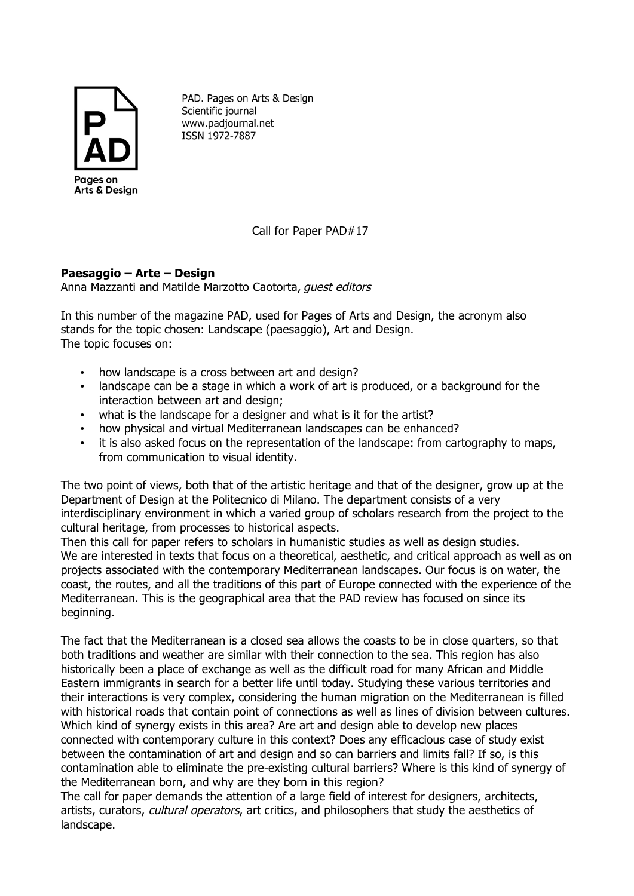

PAD. Pages on Arts & Design Scientific journal www.padjournal.net ISSN 1972-7887

Call for Paper PAD#17

## **Paesaggio – Arte – Design**

Anna Mazzanti and Matilde Marzotto Caotorta, guest editors

In this number of the magazine PAD, used for Pages of Arts and Design, the acronym also stands for the topic chosen: Landscape (paesaggio), Art and Design. The topic focuses on:

- how landscape is a cross between art and design?
- landscape can be a stage in which a work of art is produced, or a background for the interaction between art and design;
- what is the landscape for a designer and what is it for the artist?
- how physical and virtual Mediterranean landscapes can be enhanced?
- it is also asked focus on the representation of the landscape: from cartography to maps, from communication to visual identity.

The two point of views, both that of the artistic heritage and that of the designer, grow up at the Department of Design at the Politecnico di Milano. The department consists of a very interdisciplinary environment in which a varied group of scholars research from the project to the cultural heritage, from processes to historical aspects.

Then this call for paper refers to scholars in humanistic studies as well as design studies. We are interested in texts that focus on a theoretical, aesthetic, and critical approach as well as on projects associated with the contemporary Mediterranean landscapes. Our focus is on water, the coast, the routes, and all the traditions of this part of Europe connected with the experience of the Mediterranean. This is the geographical area that the PAD review has focused on since its beginning.

The fact that the Mediterranean is a closed sea allows the coasts to be in close quarters, so that both traditions and weather are similar with their connection to the sea. This region has also historically been a place of exchange as well as the difficult road for many African and Middle Eastern immigrants in search for a better life until today. Studying these various territories and their interactions is very complex, considering the human migration on the Mediterranean is filled with historical roads that contain point of connections as well as lines of division between cultures. Which kind of synergy exists in this area? Are art and design able to develop new places connected with contemporary culture in this context? Does any efficacious case of study exist between the contamination of art and design and so can barriers and limits fall? If so, is this contamination able to eliminate the pre-existing cultural barriers? Where is this kind of synergy of the Mediterranean born, and why are they born in this region?

The call for paper demands the attention of a large field of interest for designers, architects, artists, curators, cultural operators, art critics, and philosophers that study the aesthetics of landscape.